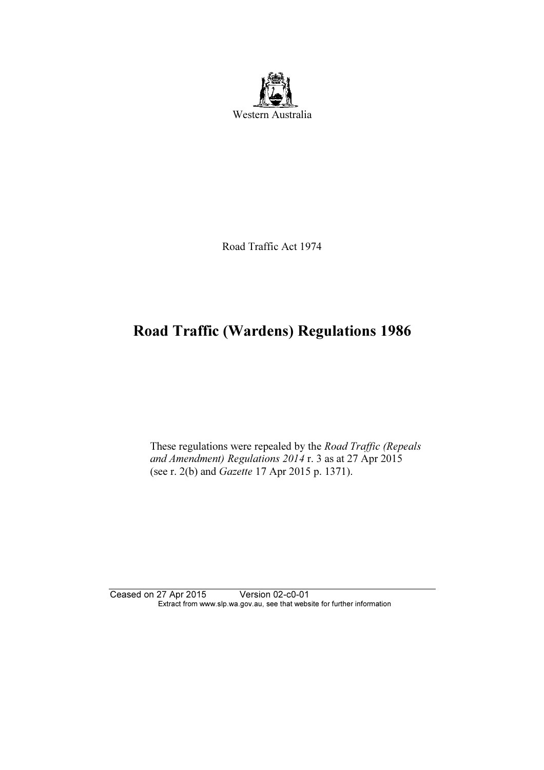

Road Traffic Act 1974

# Road Traffic (Wardens) Regulations 1986

 These regulations were repealed by the Road Traffic (Repeals and Amendment) Regulations 2014 r. 3 as at 27 Apr 2015 (see r. 2(b) and Gazette 17 Apr 2015 p. 1371).

Ceased on 27 Apr 2015 Version 02-c0-01 Extract from www.slp.wa.gov.au, see that website for further information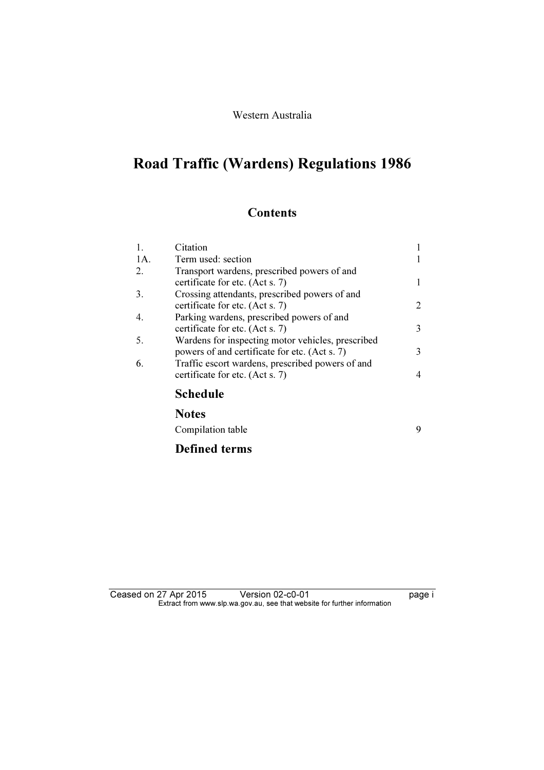### Western Australia

# Road Traffic (Wardens) Regulations 1986

## **Contents**

| 1.  | Citation                                                                                           |                |
|-----|----------------------------------------------------------------------------------------------------|----------------|
| 1A. | Term used: section                                                                                 |                |
| 2.  | Transport wardens, prescribed powers of and<br>certificate for etc. (Act s. 7)                     | 1              |
| 3.  | Crossing attendants, prescribed powers of and<br>certificate for etc. (Act s. 7)                   | 2              |
| 4.  | Parking wardens, prescribed powers of and<br>certificate for etc. (Act s. 7)                       | 3              |
| 5.  | Wardens for inspecting motor vehicles, prescribed<br>powers of and certificate for etc. (Act s. 7) | 3              |
| 6.  | Traffic escort wardens, prescribed powers of and<br>certificate for etc. (Act s. 7)                | $\overline{4}$ |
|     | <b>Schedule</b>                                                                                    |                |
|     | <b>Notes</b>                                                                                       |                |
|     | Compilation table                                                                                  | 9              |
|     | <b>Defined terms</b>                                                                               |                |

#### Ceased on 27 Apr 2015 Version 02-c0-01 **Deased on 27 Apr** 2015  $\mathbf{F}$  from which was the set that we besite for further information  $\mathbf{F}$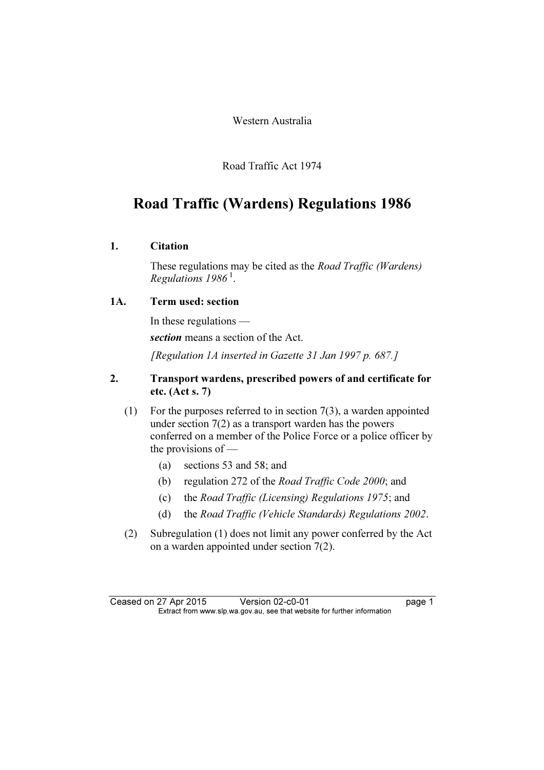Western Australia

Road Traffic Act 1974

## Road Traffic (Wardens) Regulations 1986

### 1. Citation

 These regulations may be cited as the Road Traffic (Wardens) Regulations  $1986^{\,1}$ .

## 1A. Term used: section

 In these regulations section means a section of the Act. [Regulation 1A inserted in Gazette 31 Jan 1997 p. 687.]

## 2. Transport wardens, prescribed powers of and certificate for etc. (Act s. 7)

- (1) For the purposes referred to in section 7(3), a warden appointed under section 7(2) as a transport warden has the powers conferred on a member of the Police Force or a police officer by the provisions of —
	- (a) sections 53 and 58; and
	- (b) regulation 272 of the Road Traffic Code 2000; and
	- (c) the Road Traffic (Licensing) Regulations 1975; and
	- (d) the Road Traffic (Vehicle Standards) Regulations 2002.
- (2) Subregulation (1) does not limit any power conferred by the Act on a warden appointed under section 7(2).

Ceased on 27 Apr 2015 Version 02-c0-01 page 1<br>Extract from www.slp.wa.gov.au, see that website for further information  $\mathbf{F}$  from which was the set that we besite for further information  $\mathbf{F}$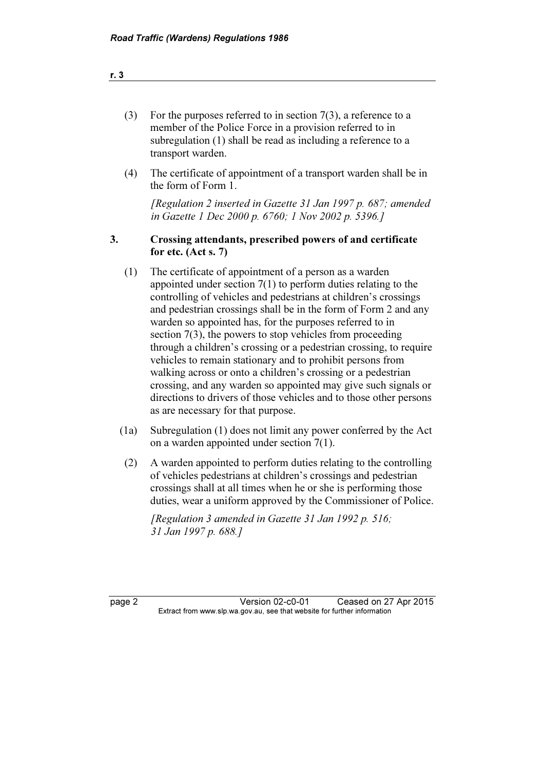| For the purposes referred to in section $7(3)$ , a reference to a |
|-------------------------------------------------------------------|
| member of the Police Force in a provision referred to in          |
| subregulation (1) shall be read as including a reference to a     |
| transport warden.                                                 |

 (4) The certificate of appointment of a transport warden shall be in the form of Form 1.

 [Regulation 2 inserted in Gazette 31 Jan 1997 p. 687; amended in Gazette 1 Dec 2000 p. 6760; 1 Nov 2002 p. 5396.]

#### 3. Crossing attendants, prescribed powers of and certificate for etc. (Act s. 7)

- (1) The certificate of appointment of a person as a warden appointed under section 7(1) to perform duties relating to the controlling of vehicles and pedestrians at children's crossings and pedestrian crossings shall be in the form of Form 2 and any warden so appointed has, for the purposes referred to in section 7(3), the powers to stop vehicles from proceeding through a children's crossing or a pedestrian crossing, to require vehicles to remain stationary and to prohibit persons from walking across or onto a children's crossing or a pedestrian crossing, and any warden so appointed may give such signals or directions to drivers of those vehicles and to those other persons as are necessary for that purpose.
- (1a) Subregulation (1) does not limit any power conferred by the Act on a warden appointed under section 7(1).
- (2) A warden appointed to perform duties relating to the controlling of vehicles pedestrians at children's crossings and pedestrian crossings shall at all times when he or she is performing those duties, wear a uniform approved by the Commissioner of Police.

[Regulation 3 amended in Gazette 31 Jan 1992 p. 516; 31 Jan 1997 p. 688.]

page 2 Version 02-c0-01 Ceased on 27 Apr 2015<br>Extract from www.slp.wa.gov.au, see that website for further information  $\mathbf{F}$  from which was the set that we besite for further information  $\mathbf{F}$ 

r. 3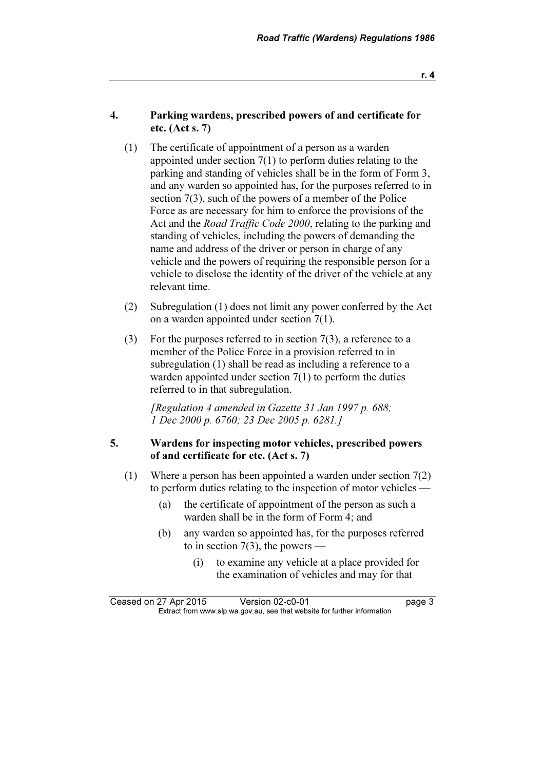r. 4

#### 4. Parking wardens, prescribed powers of and certificate for etc. (Act s. 7)

- (1) The certificate of appointment of a person as a warden appointed under section 7(1) to perform duties relating to the parking and standing of vehicles shall be in the form of Form 3, and any warden so appointed has, for the purposes referred to in section 7(3), such of the powers of a member of the Police Force as are necessary for him to enforce the provisions of the Act and the *Road Traffic Code 2000*, relating to the parking and standing of vehicles, including the powers of demanding the name and address of the driver or person in charge of any vehicle and the powers of requiring the responsible person for a vehicle to disclose the identity of the driver of the vehicle at any relevant time.
- (2) Subregulation (1) does not limit any power conferred by the Act on a warden appointed under section 7(1).
- (3) For the purposes referred to in section 7(3), a reference to a member of the Police Force in a provision referred to in subregulation (1) shall be read as including a reference to a warden appointed under section 7(1) to perform the duties referred to in that subregulation.

 [Regulation 4 amended in Gazette 31 Jan 1997 p. 688; 1 Dec 2000 p. 6760; 23 Dec 2005 p. 6281.]

#### 5. Wardens for inspecting motor vehicles, prescribed powers of and certificate for etc. (Act s. 7)

- (1) Where a person has been appointed a warden under section 7(2) to perform duties relating to the inspection of motor vehicles —
	- (a) the certificate of appointment of the person as such a warden shall be in the form of Form 4; and
	- (b) any warden so appointed has, for the purposes referred to in section 7(3), the powers —
		- (i) to examine any vehicle at a place provided for the examination of vehicles and may for that

Ceased on 27 Apr 2015 Version 02-c0-01 page 3<br>Extract from www.slp.wa.gov.au, see that website for further information  $\mathbf{F}$  from which was the set that we besite for further information  $\mathbf{F}$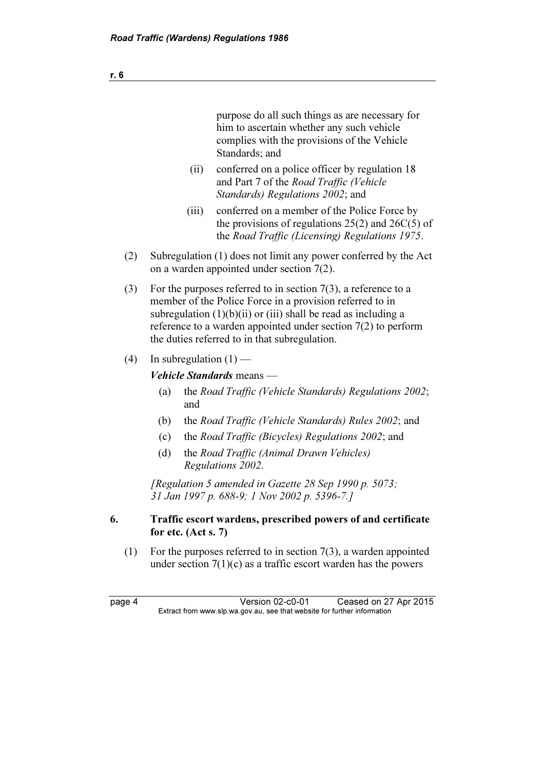purpose do all such things as are necessary for him to ascertain whether any such vehicle complies with the provisions of the Vehicle Standards; and

- (ii) conferred on a police officer by regulation 18 and Part 7 of the Road Traffic (Vehicle Standards) Regulations 2002; and
- (iii) conferred on a member of the Police Force by the provisions of regulations  $25(2)$  and  $26C(5)$  of the Road Traffic (Licensing) Regulations 1975.
- (2) Subregulation (1) does not limit any power conferred by the Act on a warden appointed under section 7(2).
- (3) For the purposes referred to in section 7(3), a reference to a member of the Police Force in a provision referred to in subregulation  $(1)(b)(ii)$  or  $(iii)$  shall be read as including a reference to a warden appointed under section 7(2) to perform the duties referred to in that subregulation.
- (4) In subregulation  $(1)$  —

#### Vehicle Standards means —

- (a) the Road Traffic (Vehicle Standards) Regulations 2002; and
- (b) the Road Traffic (Vehicle Standards) Rules 2002; and
- (c) the Road Traffic (Bicycles) Regulations 2002; and
- (d) the Road Traffic (Animal Drawn Vehicles) Regulations 2002.

 [Regulation 5 amended in Gazette 28 Sep 1990 p. 5073; 31 Jan 1997 p. 688-9; 1 Nov 2002 p. 5396-7.]

#### 6. Traffic escort wardens, prescribed powers of and certificate for etc. (Act s. 7)

(1) For the purposes referred to in section  $7(3)$ , a warden appointed under section  $7(1)(c)$  as a traffic escort warden has the powers

page 4 Version 02-c0-01 Ceased on 27 Apr 2015<br>Extract from www.slp.wa.gov.au, see that website for further information  $\mathbf{F}$  from which was the set that we besite for further information  $\mathbf{F}$ 

r. 6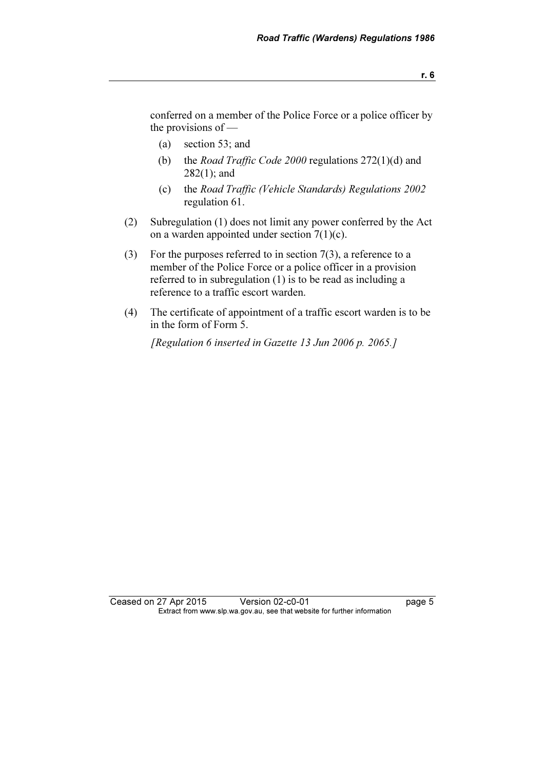conferred on a member of the Police Force or a police officer by the provisions of —

- (a) section 53; and
- (b) the *Road Traffic Code 2000* regulations  $272(1)(d)$  and 282(1); and
- (c) the Road Traffic (Vehicle Standards) Regulations 2002 regulation 61.
- (2) Subregulation (1) does not limit any power conferred by the Act on a warden appointed under section  $7(1)(c)$ .
- (3) For the purposes referred to in section 7(3), a reference to a member of the Police Force or a police officer in a provision referred to in subregulation (1) is to be read as including a reference to a traffic escort warden.
- (4) The certificate of appointment of a traffic escort warden is to be in the form of Form 5.

[Regulation 6 inserted in Gazette 13 Jun 2006 p. 2065.]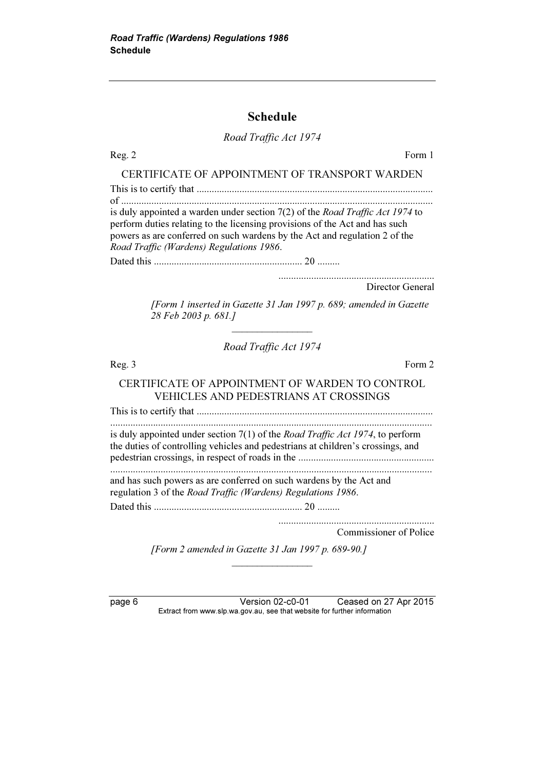## Schedule

## Road Traffic Act 1974

| Form 1<br>Reg. 2                                                                                                                                                                                                                                                                       |  |  |  |  |  |  |
|----------------------------------------------------------------------------------------------------------------------------------------------------------------------------------------------------------------------------------------------------------------------------------------|--|--|--|--|--|--|
| CERTIFICATE OF APPOINTMENT OF TRANSPORT WARDEN                                                                                                                                                                                                                                         |  |  |  |  |  |  |
|                                                                                                                                                                                                                                                                                        |  |  |  |  |  |  |
| is duly appointed a warden under section 7(2) of the Road Traffic Act 1974 to<br>perform duties relating to the licensing provisions of the Act and has such<br>powers as are conferred on such wardens by the Act and regulation 2 of the<br>Road Traffic (Wardens) Regulations 1986. |  |  |  |  |  |  |
|                                                                                                                                                                                                                                                                                        |  |  |  |  |  |  |
| Director General                                                                                                                                                                                                                                                                       |  |  |  |  |  |  |
| [Form 1 inserted in Gazette 31 Jan 1997 p. 689; amended in Gazette<br>28 Feb 2003 p. 681.]                                                                                                                                                                                             |  |  |  |  |  |  |
| Road Traffic Act 1974                                                                                                                                                                                                                                                                  |  |  |  |  |  |  |
| Form 2<br>Reg. 3                                                                                                                                                                                                                                                                       |  |  |  |  |  |  |
| CERTIFICATE OF APPOINTMENT OF WARDEN TO CONTROL<br>VEHICLES AND PEDESTRIANS AT CROSSINGS                                                                                                                                                                                               |  |  |  |  |  |  |
|                                                                                                                                                                                                                                                                                        |  |  |  |  |  |  |
| is duly appointed under section 7(1) of the <i>Road Traffic Act 1974</i> , to perform<br>the duties of controlling vehicles and pedestrians at children's crossings, and                                                                                                               |  |  |  |  |  |  |
| and has such powers as are conferred on such wardens by the Act and<br>regulation 3 of the Road Traffic (Wardens) Regulations 1986.                                                                                                                                                    |  |  |  |  |  |  |
|                                                                                                                                                                                                                                                                                        |  |  |  |  |  |  |
| Commissioner of Police                                                                                                                                                                                                                                                                 |  |  |  |  |  |  |

[Form 2 amended in Gazette 31 Jan 1997 p. 689-90.]

 $\frac{1}{2}$  , where  $\frac{1}{2}$  , where  $\frac{1}{2}$ 

page 6 Version 02-c0-01 Ceased on 27 Apr 2015 Extract from www.slp.wa.gov.au, see that website for further information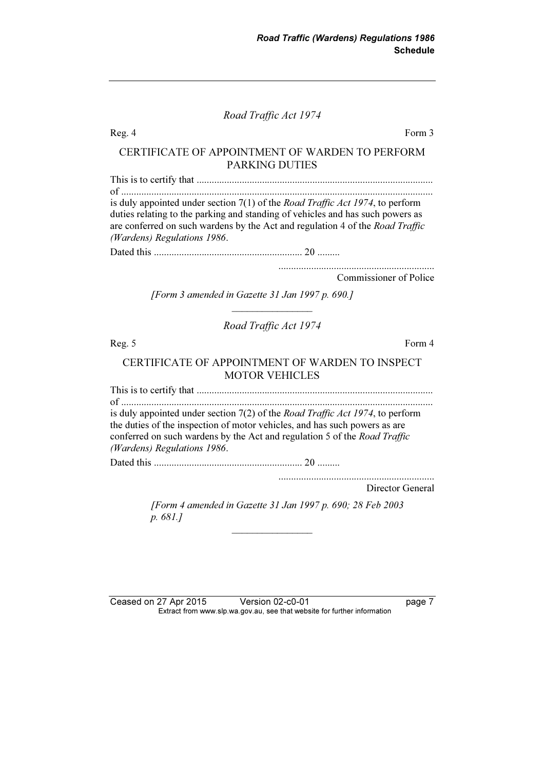Road Traffic Act 1974

| Form 3<br>Reg. 4                                                                                                                                                                                                                                                                          |  |  |  |  |  |
|-------------------------------------------------------------------------------------------------------------------------------------------------------------------------------------------------------------------------------------------------------------------------------------------|--|--|--|--|--|
| CERTIFICATE OF APPOINTMENT OF WARDEN TO PERFORM<br><b>PARKING DUTIES</b>                                                                                                                                                                                                                  |  |  |  |  |  |
|                                                                                                                                                                                                                                                                                           |  |  |  |  |  |
| is duly appointed under section $7(1)$ of the <i>Road Traffic Act 1974</i> , to perform<br>duties relating to the parking and standing of vehicles and has such powers as<br>are conferred on such wardens by the Act and regulation 4 of the Road Traffic<br>(Wardens) Regulations 1986. |  |  |  |  |  |
|                                                                                                                                                                                                                                                                                           |  |  |  |  |  |
| Commissioner of Police                                                                                                                                                                                                                                                                    |  |  |  |  |  |
| [Form 3 amended in Gazette 31 Jan 1997 p. 690.]                                                                                                                                                                                                                                           |  |  |  |  |  |
| Road Traffic Act 1974                                                                                                                                                                                                                                                                     |  |  |  |  |  |
| Form 4<br>Reg. 5                                                                                                                                                                                                                                                                          |  |  |  |  |  |
| CERTIFICATE OF APPOINTMENT OF WARDEN TO INSPECT<br><b>MOTOR VEHICLES</b>                                                                                                                                                                                                                  |  |  |  |  |  |
|                                                                                                                                                                                                                                                                                           |  |  |  |  |  |
| is duly appointed under section 7(2) of the <i>Road Traffic Act 1974</i> , to perform<br>the duties of the inspection of motor vehicles, and has such powers as are<br>conferred on such wardens by the Act and regulation 5 of the Road Traffic<br>(Wardens) Regulations 1986.           |  |  |  |  |  |
|                                                                                                                                                                                                                                                                                           |  |  |  |  |  |
| Director General                                                                                                                                                                                                                                                                          |  |  |  |  |  |
| [Form 4 amended in Gazette 31 Jan 1997 p. 690; 28 Feb 2003<br>p. 681.]                                                                                                                                                                                                                    |  |  |  |  |  |

Ceased on 27 Apr 2015 Version 02-c0-01 page 7  $\mathbf{F}$  from which was the set that we besite for further information  $\mathbf{F}$ 

 $\frac{1}{2}$  , where  $\frac{1}{2}$  , where  $\frac{1}{2}$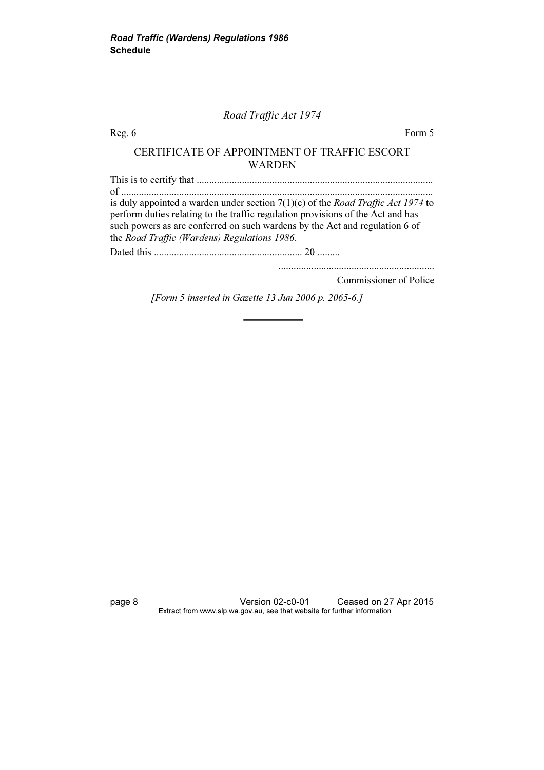#### Road Traffic Act 1974

Reg. 6 Form 5

#### CERTIFICATE OF APPOINTMENT OF TRAFFIC ESCORT WARDEN

This is to certify that .............................................................................................. of ............................................................................................................................ is duly appointed a warden under section  $7(1)(c)$  of the *Road Traffic Act 1974* to perform duties relating to the traffic regulation provisions of the Act and has such powers as are conferred on such wardens by the Act and regulation 6 of the Road Traffic (Wardens) Regulations 1986. Dated this ........................................................... 20 .........

Commissioner of Police

..............................................................

[Form 5 inserted in Gazette 13 Jun 2006 p. 2065-6.]

page 8 Version 02-c0-01 Ceased on 27 Apr 2015 Extract from www.slp.wa.gov.au, see that website for further information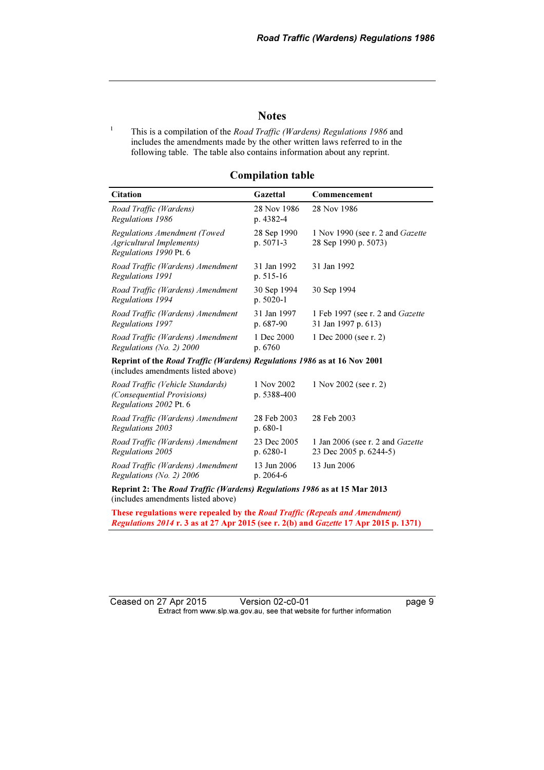#### **Notes**

1 This is a compilation of the Road Traffic (Wardens) Regulations 1986 and includes the amendments made by the other written laws referred to in the following table. The table also contains information about any reprint.

#### Compilation table

| <b>Citation</b>                                                                                                | Gazettal                  | Commencement                                                      |  |  |
|----------------------------------------------------------------------------------------------------------------|---------------------------|-------------------------------------------------------------------|--|--|
| Road Traffic (Wardens)<br>Regulations 1986                                                                     | 28 Nov 1986<br>p. 4382-4  | 28 Nov 1986                                                       |  |  |
| Regulations Amendment (Towed<br><b>Agricultural Implements)</b><br>Regulations 1990 Pt. 6                      | 28 Sep 1990<br>p. 5071-3  | 1 Nov 1990 (see r. 2 and Gazette<br>28 Sep 1990 p. 5073)          |  |  |
| Road Traffic (Wardens) Amendment<br>Regulations 1991                                                           | 31 Jan 1992<br>p. 515-16  | 31 Jan 1992                                                       |  |  |
| Road Traffic (Wardens) Amendment<br>Regulations 1994                                                           | 30 Sep 1994<br>p. 5020-1  | 30 Sep 1994                                                       |  |  |
| Road Traffic (Wardens) Amendment<br>Regulations 1997                                                           | 31 Jan 1997<br>p. 687-90  | 1 Feb 1997 (see r. 2 and Gazette<br>31 Jan 1997 p. 613)           |  |  |
| Road Traffic (Wardens) Amendment<br>Regulations (No. 2) 2000                                                   | 1 Dec 2000<br>p. 6760     | 1 Dec 2000 (see r. 2)                                             |  |  |
| Reprint of the Road Traffic (Wardens) Regulations 1986 as at 16 Nov 2001<br>(includes amendments listed above) |                           |                                                                   |  |  |
| Road Traffic (Vehicle Standards)<br>(Consequential Provisions)<br>Regulations 2002 Pt. 6                       | 1 Nov 2002<br>p. 5388-400 | 1 Nov 2002 (see r. 2)                                             |  |  |
| Road Traffic (Wardens) Amendment<br>Regulations 2003                                                           | 28 Feb 2003<br>$p.680-1$  | 28 Feb 2003                                                       |  |  |
| Road Traffic (Wardens) Amendment<br>Regulations 2005                                                           | 23 Dec 2005<br>p. 6280-1  | 1 Jan 2006 (see r. 2 and <i>Gazette</i><br>23 Dec 2005 p. 6244-5) |  |  |
| Road Traffic (Wardens) Amendment<br>Regulations (No. 2) 2006                                                   | 13 Jun 2006<br>p. 2064-6  | 13 Jun 2006                                                       |  |  |
|                                                                                                                |                           |                                                                   |  |  |

Reprint 2: The Road Traffic (Wardens) Regulations 1986 as at 15 Mar 2013 (includes amendments listed above)

These regulations were repealed by the Road Traffic (Repeals and Amendment) Regulations 2014 r. 3 as at 27 Apr 2015 (see r. 2(b) and Gazette 17 Apr 2015 p. 1371)

Ceased on 27 Apr 2015 Version 02-c0-01 page 9 Extract from www.slp.wa.gov.au, see that website for further information